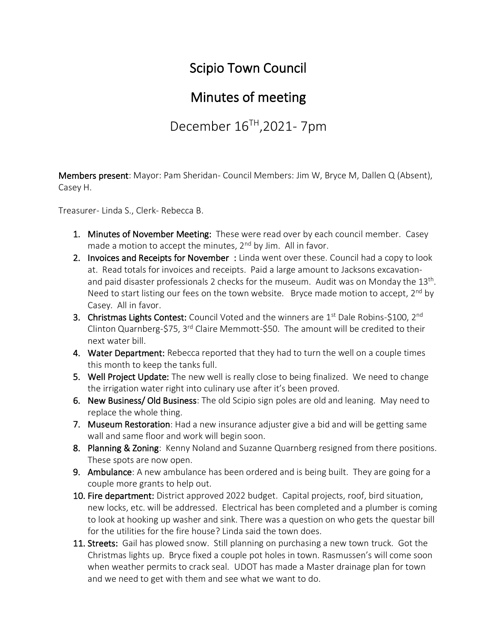## Scipio Town Council

## Minutes of meeting

December 16TH ,2021- 7pm

Members present: Mayor: Pam Sheridan- Council Members: Jim W, Bryce M, Dallen Q (Absent), Casey H.

Treasurer- Linda S., Clerk- Rebecca B.

- 1. Minutes of November Meeting: These were read over by each council member. Casey made a motion to accept the minutes,  $2<sup>nd</sup>$  by Jim. All in favor.
- 2. Invoices and Receipts for November : Linda went over these. Council had a copy to look at. Read totals for invoices and receipts. Paid a large amount to Jacksons excavationand paid disaster professionals 2 checks for the museum. Audit was on Monday the 13<sup>th</sup>. Need to start listing our fees on the town website. Bryce made motion to accept,  $2^{nd}$  by Casey. All in favor.
- 3. Christmas Lights Contest: Council Voted and the winners are 1<sup>st</sup> Dale Robins-\$100, 2<sup>nd</sup> Clinton Quarnberg-\$75, 3<sup>rd</sup> Claire Memmott-\$50. The amount will be credited to their next water bill.
- 4. Water Department: Rebecca reported that they had to turn the well on a couple times this month to keep the tanks full.
- 5. Well Project Update: The new well is really close to being finalized. We need to change the irrigation water right into culinary use after it's been proved.
- 6. New Business/ Old Business: The old Scipio sign poles are old and leaning. May need to replace the whole thing.
- 7. Museum Restoration: Had a new insurance adjuster give a bid and will be getting same wall and same floor and work will begin soon.
- 8. Planning & Zoning: Kenny Noland and Suzanne Quarnberg resigned from there positions. These spots are now open.
- 9. Ambulance: A new ambulance has been ordered and is being built. They are going for a couple more grants to help out.
- 10. Fire department: District approved 2022 budget. Capital projects, roof, bird situation, new locks, etc. will be addressed. Electrical has been completed and a plumber is coming to look at hooking up washer and sink. There was a question on who gets the questar bill for the utilities for the fire house? Linda said the town does.
- 11. Streets: Gail has plowed snow. Still planning on purchasing a new town truck. Got the Christmas lights up. Bryce fixed a couple pot holes in town. Rasmussen's will come soon when weather permits to crack seal. UDOT has made a Master drainage plan for town and we need to get with them and see what we want to do.